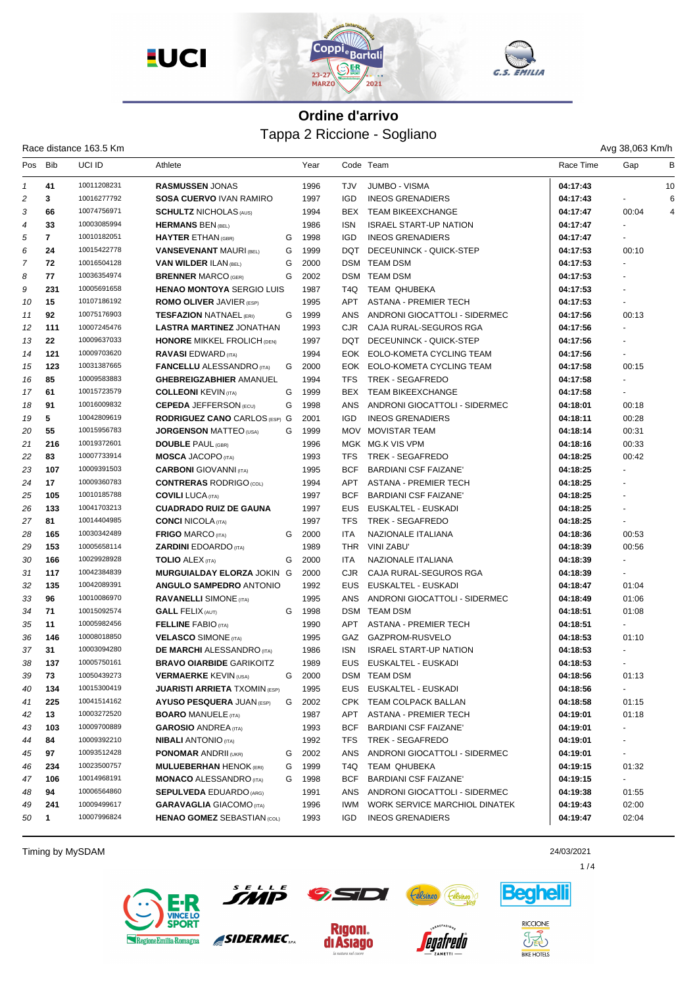

| 55. | EMILIA |  |  |
|-----|--------|--|--|
|     |        |  |  |

Race distance 163.5 Km

| Pos | Bib | uci id      | Athlete                              |   | Year |            | Code Team                     | Race Time | Gap          | в  |
|-----|-----|-------------|--------------------------------------|---|------|------------|-------------------------------|-----------|--------------|----|
| 1   | 41  | 10011208231 | <b>RASMUSSEN JONAS</b>               |   | 1996 | <b>TJV</b> | <b>JUMBO - VISMA</b>          | 04:17:43  |              | 10 |
| 2   | 3   | 10016277792 | <b>SOSA CUERVO IVAN RAMIRO</b>       |   | 1997 | <b>IGD</b> | <b>INEOS GRENADIERS</b>       | 04:17:43  |              | 6  |
| 3   | 66  | 10074756971 | <b>SCHULTZ NICHOLAS (AUS)</b>        |   | 1994 | BEX        | <b>TEAM BIKEEXCHANGE</b>      | 04:17:47  | 00:04        | 4  |
| 4   | 33  | 10003085994 | <b>HERMANS BEN (BEL)</b>             |   | 1986 | <b>ISN</b> | <b>ISRAEL START-UP NATION</b> | 04:17:47  | $\mathbf{r}$ |    |
| 5   | 7   | 10010182051 | <b>HAYTER ETHAN (GBR)</b>            | G | 1998 | <b>IGD</b> | <b>INEOS GRENADIERS</b>       | 04:17:47  |              |    |
| 6   | 24  | 10015422778 | <b>VANSEVENANT MAURI (BEL)</b>       | G | 1999 | DQT        | DECEUNINCK - QUICK-STEP       | 04:17:53  | 00:10        |    |
| 7   | 72  | 10016504128 | <b>VAN WILDER ILAN (BEL)</b>         | G | 2000 |            | <b>DSM TEAM DSM</b>           | 04:17:53  |              |    |
| 8   | 77  | 10036354974 | <b>BRENNER MARCO (GER)</b>           | G | 2002 |            | DSM TEAM DSM                  | 04:17:53  |              |    |
| 9   | 231 | 10005691658 | <b>HENAO MONTOYA SERGIO LUIS</b>     |   | 1987 | T4Q        | TEAM QHUBEKA                  | 04:17:53  |              |    |
| 10  | 15  | 10107186192 | <b>ROMO OLIVER JAVIER (ESP)</b>      |   | 1995 | <b>APT</b> | <b>ASTANA - PREMIER TECH</b>  | 04:17:53  |              |    |
| 11  | 92  | 10075176903 | <b>TESFAZION NATNAEL (ERI)</b>       | G | 1999 | ANS        | ANDRONI GIOCATTOLI - SIDERMEC | 04:17:56  | 00:13        |    |
| 12  | 111 | 10007245476 | <b>LASTRA MARTINEZ JONATHAN</b>      |   | 1993 | <b>CJR</b> | CAJA RURAL-SEGUROS RGA        | 04:17:56  |              |    |
| 13  | 22  | 10009637033 | <b>HONORE MIKKEL FROLICH (DEN)</b>   |   | 1997 | DQT        | DECEUNINCK - QUICK-STEP       | 04:17:56  |              |    |
| 14  | 121 | 10009703620 | <b>RAVASI EDWARD (ITA)</b>           |   | 1994 |            | EOK EOLO-KOMETA CYCLING TEAM  | 04:17:56  |              |    |
| 15  | 123 | 10031387665 | <b>FANCELLU ALESSANDRO</b> (ITA)     | G | 2000 |            | EOK EOLO-KOMETA CYCLING TEAM  | 04:17:58  | 00:15        |    |
| 16  | 85  | 10009583883 | <b>GHEBREIGZABHIER AMANUEL</b>       |   | 1994 | TFS        | TREK - SEGAFREDO              | 04:17:58  |              |    |
| 17  | 61  | 10015723579 | <b>COLLEONI KEVIN (TA)</b>           | G | 1999 | <b>BEX</b> | <b>TEAM BIKEEXCHANGE</b>      | 04:17:58  |              |    |
| 18  | 91  | 10016009832 | <b>CEPEDA JEFFERSON (ECU)</b>        | G | 1998 | <b>ANS</b> | ANDRONI GIOCATTOLI - SIDERMEC | 04:18:01  | 00:18        |    |
| 19  | 5   | 10042809619 | <b>RODRIGUEZ CANO CARLOS (ESP) G</b> |   | 2001 | <b>IGD</b> | <b>INEOS GRENADIERS</b>       | 04:18:11  | 00:28        |    |
| 20  | 55  | 10015956783 | <b>JORGENSON MATTEO (USA)</b>        | G | 1999 |            | MOV MOVISTAR TEAM             | 04:18:14  | 00:31        |    |
| 21  | 216 | 10019372601 | <b>DOUBLE PAUL (GBR)</b>             |   | 1996 |            | MGK MG.K VIS VPM              | 04:18:16  | 00:33        |    |
| 22  | 83  | 10007733914 | <b>MOSCA JACOPO (ITA)</b>            |   | 1993 | <b>TFS</b> | TREK - SEGAFREDO              | 04:18:25  | 00:42        |    |
| 23  | 107 | 10009391503 | <b>CARBONI</b> GIOVANNI (ITA)        |   | 1995 | <b>BCF</b> | <b>BARDIANI CSF FAIZANE'</b>  | 04:18:25  |              |    |
| 24  | 17  | 10009360783 | <b>CONTRERAS RODRIGO (COL)</b>       |   | 1994 | <b>APT</b> | <b>ASTANA - PREMIER TECH</b>  | 04:18:25  |              |    |
| 25  | 105 | 10010185788 | <b>COVILI LUCA (ITA)</b>             |   | 1997 | <b>BCF</b> | <b>BARDIANI CSF FAIZANE'</b>  | 04:18:25  |              |    |
| 26  | 133 | 10041703213 | <b>CUADRADO RUIZ DE GAUNA</b>        |   | 1997 | <b>EUS</b> | EUSKALTEL - EUSKADI           | 04:18:25  |              |    |
| 27  | 81  | 10014404985 | <b>CONCI NICOLA (ITA)</b>            |   | 1997 | <b>TFS</b> | TREK - SEGAFREDO              | 04:18:25  |              |    |
| 28  | 165 | 10030342489 | <b>FRIGO MARCO (ITA)</b>             | G | 2000 | <b>ITA</b> | NAZIONALE ITALIANA            | 04:18:36  | 00:53        |    |
| 29  | 153 | 10005658114 | <b>ZARDINI EDOARDO</b> (ITA)         |   | 1989 | <b>THR</b> | <b>VINI ZABU'</b>             | 04:18:39  | 00:56        |    |
| 30  | 166 | 10029928928 | <b>TOLIO</b> ALEX (ITA)              | G | 2000 | <b>ITA</b> | NAZIONALE ITALIANA            | 04:18:39  |              |    |
| 31  | 117 | 10042384839 | MURGUIALDAY ELORZA JOKIN G           |   | 2000 | <b>CJR</b> | CAJA RURAL-SEGUROS RGA        | 04:18:39  |              |    |
| 32  | 135 | 10042089391 | <b>ANGULO SAMPEDRO ANTONIO</b>       |   | 1992 | <b>EUS</b> | EUSKALTEL - EUSKADI           | 04:18:47  | 01:04        |    |
| 33  | 96  | 10010086970 | <b>RAVANELLI SIMONE (ITA)</b>        |   | 1995 | <b>ANS</b> | ANDRONI GIOCATTOLI - SIDERMEC | 04:18:49  | 01:06        |    |
| 34  | 71  | 10015092574 | <b>GALL FELIX (AUT)</b>              | G | 1998 |            | DSM TEAM DSM                  | 04:18:51  | 01:08        |    |
| 35  | 11  | 10005982456 | <b>FELLINE FABIO (ITA)</b>           |   | 1990 | <b>APT</b> | <b>ASTANA - PREMIER TECH</b>  | 04:18:51  |              |    |
| 36  | 146 | 10008018850 | <b>VELASCO SIMONE (ITA)</b>          |   | 1995 | GAZ        | GAZPROM-RUSVELO               | 04:18:53  | 01:10        |    |
| 37  | 31  | 10003094280 | <b>DE MARCHI</b> ALESSANDRO (ITA)    |   | 1986 | ISN.       | <b>ISRAEL START-UP NATION</b> | 04:18:53  |              |    |
| 38  | 137 | 10005750161 | <b>BRAVO OIARBIDE GARIKOITZ</b>      |   | 1989 | <b>EUS</b> | EUSKALTEL - EUSKADI           | 04:18:53  |              |    |
| 39  | 73  | 10050439273 | <b>VERMAERKE KEVIN (USA)</b>         | G | 2000 |            | DSM TEAM DSM                  | 04:18:56  | 01:13        |    |
| 40  | 134 | 10015300419 | <b>JUARISTI ARRIETA TXOMIN (ESP)</b> |   | 1995 |            | EUS EUSKALTEL - EUSKADI       | 04:18:56  |              |    |
| 41  | 225 | 10041514162 | <b>AYUSO PESQUERA JUAN (ESP)</b>     | G | 2002 |            | CPK TEAM COLPACK BALLAN       | 04:18:58  | 01:15        |    |
| 42  | 13  | 10003272520 | <b>BOARO MANUELE (ITA)</b>           |   | 1987 | APT        | ASTANA - PREMIER TECH         | 04:19:01  | 01:18        |    |
| 43  | 103 | 10009700889 | <b>GAROSIO ANDREA (ITA)</b>          |   | 1993 | BCF        | <b>BARDIANI CSF FAIZANE'</b>  | 04:19:01  | $\sim$       |    |
| 44  | 84  | 10009392210 | <b>NIBALI ANTONIO (ITA)</b>          |   | 1992 | TFS        | TREK - SEGAFREDO              | 04:19:01  |              |    |
| 45  | 97  | 10093512428 | <b>PONOMAR ANDRII (UKR)</b>          | G | 2002 | ANS        | ANDRONI GIOCATTOLI - SIDERMEC | 04:19:01  | $\sim$       |    |
| 46  | 234 | 10023500757 | <b>MULUEBERHAN HENOK (ERI)</b>       | G | 1999 | T4Q        | TEAM QHUBEKA                  | 04:19:15  | 01:32        |    |
| 47  | 106 | 10014968191 | <b>MONACO ALESSANDRO (ITA)</b>       | G | 1998 | BCF        | <b>BARDIANI CSF FAIZANE'</b>  | 04:19:15  | $\sim$       |    |
| 48  | 94  | 10006564860 | <b>SEPULVEDA EDUARDO (ARG)</b>       |   | 1991 | ANS        | ANDRONI GIOCATTOLI - SIDERMEC | 04:19:38  | 01:55        |    |
| 49  | 241 | 10009499617 | <b>GARAVAGLIA GIACOMO (ITA)</b>      |   | 1996 | IWM        | WORK SERVICE MARCHIOL DINATEK | 04:19:43  | 02:00        |    |
| 50  | 1   | 10007996824 | <b>HENAO GOMEZ SEBASTIAN (COL)</b>   |   | 1993 | IGD        | <b>INEOS GRENADIERS</b>       | 04:19:47  | 02:04        |    |
|     |     |             |                                      |   |      |            |                               |           |              |    |

Timing by MySDAM 24/03/2021





SIDERMEC.

**Rigoni.** 

di Asiago



*eoatredo* 



 $1/4$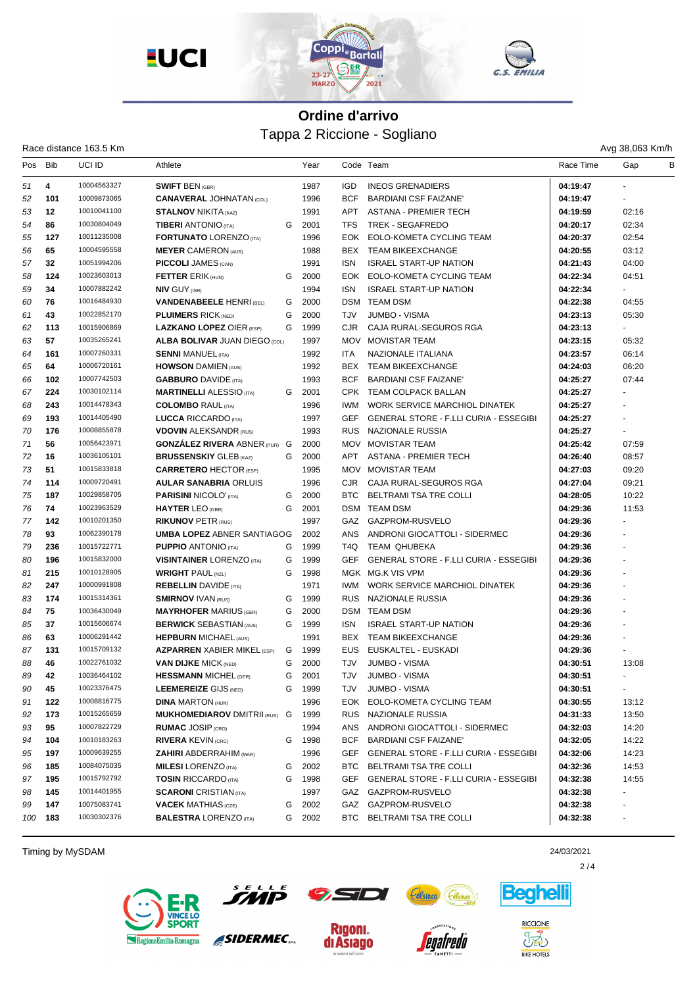

| Ava 38.063 Km |  |
|---------------|--|

|         |     | Race distance 163.5 Km |                                      |   |      |            |                                               |           | Avg 38,063 Km/h      |   |
|---------|-----|------------------------|--------------------------------------|---|------|------------|-----------------------------------------------|-----------|----------------------|---|
| Pos Bib |     | UCI ID                 | Athlete                              |   | Year |            | Code Team                                     | Race Time | Gap                  | B |
| 51      | 4   | 10004563327            | <b>SWIFT BEN (GBR)</b>               |   | 1987 | <b>IGD</b> | <b>INEOS GRENADIERS</b>                       | 04:19:47  |                      |   |
| 52      | 101 | 10009873065            | <b>CANAVERAL JOHNATAN (COL)</b>      |   | 1996 | <b>BCF</b> | BARDIANI CSF FAIZANE'                         | 04:19:47  |                      |   |
| 53      | 12  | 10010041100            | <b>STALNOV NIKITA (KAZ)</b>          |   | 1991 | APT        | ASTANA - PREMIER TECH                         | 04:19:59  | 02:16                |   |
| 54      | 86  | 10030804049            | <b>TIBERI ANTONIO</b> (ITA)          | G | 2001 | <b>TFS</b> | TREK - SEGAFREDO                              | 04:20:17  | 02:34                |   |
| 55      | 127 | 10011235008            | <b>FORTUNATO LORENZO (ITA)</b>       |   | 1996 | EOK        | EOLO-KOMETA CYCLING TEAM                      | 04:20:37  | 02:54                |   |
| 56      | 65  | 10004595558            | <b>MEYER CAMERON (AUS)</b>           |   | 1988 |            | BEX TEAM BIKEEXCHANGE                         | 04:20:55  | 03:12                |   |
| 57      | 32  | 10051994206            | <b>PICCOLI JAMES (CAN)</b>           |   | 1991 | <b>ISN</b> | <b>ISRAEL START-UP NATION</b>                 | 04:21:43  | 04:00                |   |
| 58      | 124 | 10023603013            | <b>FETTER ERIK (HUN)</b>             | G | 2000 |            | EOK EOLO-KOMETA CYCLING TEAM                  | 04:22:34  | 04:51                |   |
| 59      | 34  | 10007882242            | <b>NIV GUY (ISR)</b>                 |   | 1994 | ISN        | <b>ISRAEL START-UP NATION</b>                 | 04:22:34  |                      |   |
| 60      | 76  | 10016484930            | <b>VANDENABEELE HENRI (BEL)</b>      | G | 2000 |            | DSM TEAM DSM                                  | 04:22:38  | 04:55                |   |
| 61      | 43  | 10022852170            | <b>PLUIMERS RICK (NED)</b>           | G | 2000 | TJV        | <b>JUMBO - VISMA</b>                          | 04:23:13  | 05:30                |   |
| 62      | 113 | 10015906869            | <b>LAZKANO LOPEZ OIER (ESP)</b>      | G | 1999 | CJR.       | CAJA RURAL-SEGUROS RGA                        | 04:23:13  | $\sim$               |   |
| 63      | 57  | 10035265241            | <b>ALBA BOLIVAR JUAN DIEGO (COL)</b> |   | 1997 |            | MOV MOVISTAR TEAM                             | 04:23:15  | 05:32                |   |
| 64      | 161 | 10007260331            | <b>SENNI MANUEL (ITA)</b>            |   | 1992 | <b>ITA</b> | NAZIONALE ITALIANA                            | 04:23:57  | 06:14                |   |
| 65      | 64  | 10006720161            | <b>HOWSON DAMIEN (AUS)</b>           |   | 1992 |            | BEX TEAM BIKEEXCHANGE                         | 04:24:03  | 06:20                |   |
| 66      | 102 | 10007742503            | <b>GABBURO DAVIDE (ITA)</b>          |   | 1993 | <b>BCF</b> | <b>BARDIANI CSF FAIZANE</b>                   | 04:25:27  | 07:44                |   |
| 67      | 224 | 10030102114            | <b>MARTINELLI ALESSIO</b> (ITA)      | G | 2001 |            | CPK TEAM COLPACK BALLAN                       | 04:25:27  |                      |   |
| 68      | 243 | 10014478343            | <b>COLOMBO RAUL (ITA)</b>            |   | 1996 | IWM.       | WORK SERVICE MARCHIOL DINATEK                 | 04:25:27  |                      |   |
| 69      | 193 | 10014405490            | <b>LUCCA RICCARDO</b> (ITA)          |   | 1997 | <b>GEF</b> | <b>GENERAL STORE - F.LLI CURIA - ESSEGIBI</b> | 04:25:27  |                      |   |
| 70      | 176 | 10008855878            | <b>VDOVIN ALEKSANDR (RUS)</b>        |   | 1993 |            | RUS NAZIONALE RUSSIA                          | 04:25:27  | $\blacksquare$       |   |
| 71      | 56  | 10056423971            | <b>GONZALEZ RIVERA ABNER (PUR) G</b> |   | 2000 |            | MOV MOVISTAR TEAM                             | 04:25:42  | 07:59                |   |
| 72      | 16  | 10036105101            | <b>BRUSSENSKIY GLEB (KAZ)</b>        | G | 2000 |            | APT ASTANA - PREMIER TECH                     | 04:26:40  | 08:57                |   |
| 73      | 51  | 10015833818            | <b>CARRETERO HECTOR (ESP)</b>        |   | 1995 |            | MOV MOVISTAR TEAM                             | 04:27:03  | 09:20                |   |
| 74      | 114 | 10009720491            | <b>AULAR SANABRIA ORLUIS</b>         |   | 1996 | CJR        | CAJA RURAL-SEGUROS RGA                        | 04:27:04  | 09:21                |   |
| 75      | 187 | 10029858705            | <b>PARISINI NICOLO' (ITA)</b>        | G | 2000 |            | BTC BELTRAMI TSA TRE COLLI                    | 04:28:05  | 10:22                |   |
| 76      | 74  | 10023963529            | <b>HAYTER LEO (GBR)</b>              | G | 2001 |            | DSM TEAM DSM                                  | 04:29:36  | 11:53                |   |
| 77      | 142 | 10010201350            | <b>RIKUNOV PETR (RUS)</b>            |   | 1997 |            | GAZ GAZPROM-RUSVELO                           | 04:29:36  |                      |   |
| 78      | 93  | 10062390178            | <b>UMBA LOPEZ ABNER SANTIAGOG</b>    |   | 2002 | ANS        | ANDRONI GIOCATTOLI - SIDERMEC                 | 04:29:36  | $\blacksquare$       |   |
| 79      | 236 | 10015722771            | <b>PUPPIO ANTONIO (ITA)</b>          | G | 1999 | T4Q.       | <b>TEAM QHUBEKA</b>                           | 04:29:36  |                      |   |
| 80      | 196 | 10015832000            | <b>VISINTAINER LORENZO (ITA)</b>     | G | 1999 | <b>GEF</b> | <b>GENERAL STORE - F.LLI CURIA - ESSEGIBI</b> | 04:29:36  | $\blacksquare$       |   |
| 81      | 215 | 10010128905            | <b>WRIGHT PAUL (NZL)</b>             | G | 1998 |            | MGK MG.K VIS VPM                              | 04:29:36  |                      |   |
| 82      | 247 | 10000991808            | <b>REBELLIN</b> DAVIDE (ITA)         |   | 1971 | IWM        | WORK SERVICE MARCHIOL DINATEK                 | 04:29:36  |                      |   |
| 83      | 174 | 10015314361            | <b>SMIRNOV IVAN (RUS)</b>            | G | 1999 |            | RUS NAZIONALE RUSSIA                          | 04:29:36  |                      |   |
| 84      | 75  | 10036430049            | <b>MAYRHOFER MARIUS (GER)</b>        | G | 2000 |            | DSM TEAM DSM                                  | 04:29:36  | $\ddot{\phantom{1}}$ |   |
| 85      | 37  | 10015606674            | <b>BERWICK SEBASTIAN (AUS)</b>       | G | 1999 | <b>ISN</b> | <b>ISRAEL START-UP NATION</b>                 | 04:29:36  |                      |   |
| 86      | 63  | 10006291442            | <b>HEPBURN MICHAEL (AUS)</b>         |   | 1991 |            | BEX TEAM BIKEEXCHANGE                         | 04:29:36  |                      |   |
| 87      | 131 | 10015709132            | <b>AZPARREN XABIER MIKEL (ESP)</b>   | G | 1999 | EUS.       | EUSKALTEL - EUSKADI                           | 04:29:36  |                      |   |
| 88      | 46  | 10022761032            | <b>VAN DIJKE MICK (NED)</b>          | G | 2000 | <b>TJV</b> | <b>JUMBO - VISMA</b>                          | 04:30:51  | 13:08                |   |
| 89      | 42  | 10036464102            | <b>HESSMANN MICHEL (GER)</b>         | G | 2001 | TJV        | <b>JUMBO - VISMA</b>                          | 04:30:51  |                      |   |
| 90      | 45  | 10023376475            | <b>LEEMEREIZE GIJS (NED)</b>         | G | 1999 | TJV        | <b>JUMBO - VISMA</b>                          | 04:30:51  |                      |   |
| 91      | 122 | 10008816775            | <b>DINA MARTON (HUN)</b>             |   | 1996 | EOK        | EOLO-KOMETA CYCLING TEAM                      | 04:30:55  | 13:12                |   |
| 92      | 173 | 10015265659            | <b>MUKHOMEDIAROV DMITRII (RUS) G</b> |   | 1999 |            | RUS NAZIONALE RUSSIA                          | 04:31:33  | 13:50                |   |
| 93      | 95  | 10007822729            | <b>RUMAC JOSIP (CRO)</b>             |   | 1994 | ANS        | ANDRONI GIOCATTOLI - SIDERMEC                 | 04:32:03  | 14:20                |   |
| 94      | 104 | 10010183263            | <b>RIVERA KEVIN (CRC)</b>            | G | 1998 | <b>BCF</b> | <b>BARDIANI CSF FAIZANE'</b>                  | 04:32:05  | 14:22                |   |
| 95      | 197 | 10009639255            | <b>ZAHIRI ABDERRAHIM (MAR)</b>       |   | 1996 | GEF        | <b>GENERAL STORE - F.LLI CURIA - ESSEGIBI</b> | 04:32:06  | 14:23                |   |
| 96      | 185 | 10084075035            | <b>MILESI</b> LORENZO (ITA)          | G | 2002 | BTC        | BELTRAMI TSA TRE COLLI                        | 04:32:36  | 14:53                |   |
| 97      | 195 | 10015792792            | <b>TOSIN RICCARDO (ITA)</b>          | G | 1998 | GEF        | GENERAL STORE - F.LLI CURIA - ESSEGIBI        | 04:32:38  | 14:55                |   |
| 98      | 145 | 10014401955            | <b>SCARONI</b> CRISTIAN (ITA)        |   | 1997 |            | GAZ GAZPROM-RUSVELO                           | 04:32:38  |                      |   |
| 99      | 147 | 10075083741            | <b>VACEK MATHIAS (CZE)</b>           | G | 2002 |            | GAZ GAZPROM-RUSVELO                           | 04:32:38  |                      |   |
| 100     | 183 | 10030302376            | <b>BALESTRA LORENZO (ITA)</b>        | G | 2002 | BTC        | BELTRAMI TSA TRE COLLI                        | 04:32:38  |                      |   |
|         |     |                        |                                      |   |      |            |                                               |           |                      |   |

Timing by MySDAM 24/03/2021





SIDERMEC.

**Rigoni.** 

di Asiago



enafredo





 $2/4$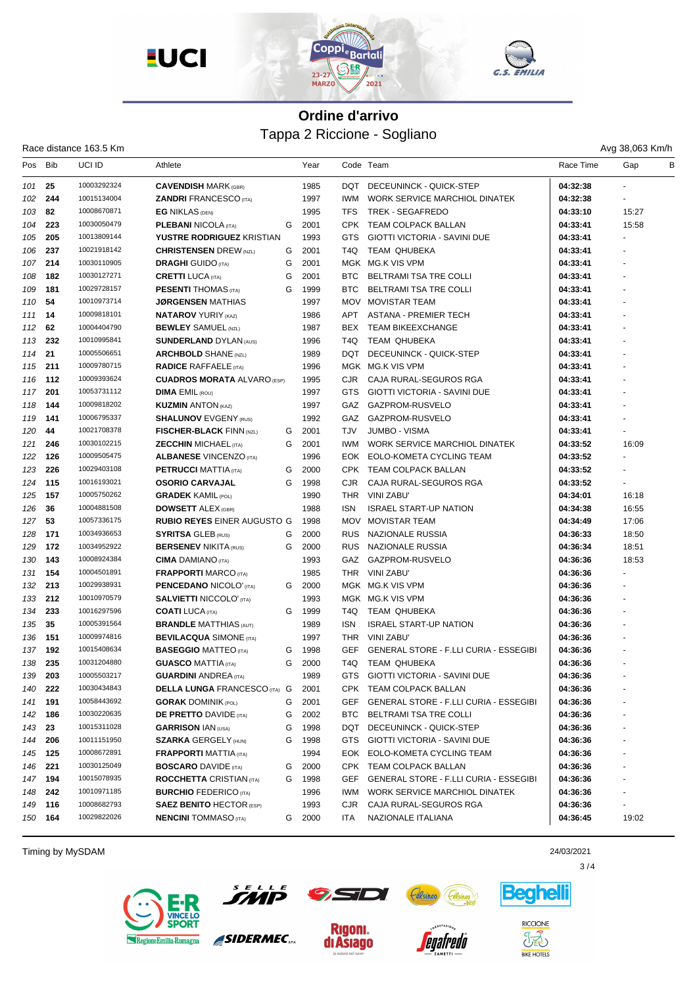

|        | Avg 38,063 Kr |  |
|--------|---------------|--|
| e Time | Gap           |  |

|     |            | Race distance 163.5 Km |                                      |   |      |            | Tappa 2 Riccione - Sogliano                   |           | Avg 38,063 Km/h |   |
|-----|------------|------------------------|--------------------------------------|---|------|------------|-----------------------------------------------|-----------|-----------------|---|
| Pos | <b>Bib</b> | UCI ID                 | Athlete                              |   | Year |            | Code Team                                     | Race Time | Gap             | В |
| 101 | 25         | 10003292324            | <b>CAVENDISH MARK (GBR)</b>          |   | 1985 | DQT        | DECEUNINCK - QUICK-STEP                       | 04:32:38  |                 |   |
| 102 | 244        | 10015134004            | <b>ZANDRI FRANCESCO (ITA)</b>        |   | 1997 | <b>IWM</b> | <b>WORK SERVICE MARCHIOL DINATEK</b>          | 04:32:38  |                 |   |
| 103 | 82         | 10008670871            | <b>EG NIKLAS (DEN)</b>               |   | 1995 | TFS        | TREK - SEGAFREDO                              | 04:33:10  | 15:27           |   |
| 104 | 223        | 10030050479            | <b>PLEBANI NICOLA (ITA)</b>          | G | 2001 | CPK        | TEAM COLPACK BALLAN                           | 04:33:41  | 15:58           |   |
| 105 | 205        | 10013809144            | YUSTRE RODRIGUEZ KRISTIAN            |   | 1993 | GTS        | <b>GIOTTI VICTORIA - SAVINI DUE</b>           | 04:33:41  |                 |   |
| 106 | 237        | 10021918142            | <b>CHRISTENSEN</b> DREW (NZL)        | G | 2001 | T4Q        | <b>TEAM QHUBEKA</b>                           | 04:33:41  |                 |   |
| 107 | 214        | 10030110905            | <b>DRAGHI</b> GUIDO (ITA)            | G | 2001 |            | MGK MG.K VIS VPM                              | 04:33:41  |                 |   |
| 108 | 182        | 10030127271            | <b>CRETTI LUCA (ITA)</b>             | G | 2001 | <b>BTC</b> | BELTRAMI TSA TRE COLLI                        | 04:33:41  |                 |   |
| 109 | 181        | 10029728157            | <b>PESENTI THOMAS</b> (ITA)          | G | 1999 | <b>BTC</b> | BELTRAMI TSA TRE COLLI                        | 04:33:41  |                 |   |
| 110 | 54         | 10010973714            | <b>JØRGENSEN</b> MATHIAS             |   | 1997 | <b>MOV</b> | <b>MOVISTAR TEAM</b>                          | 04:33:41  |                 |   |
| 111 | 14         | 10009818101            | <b>NATAROV YURIY (KAZ)</b>           |   | 1986 | APT        | <b>ASTANA - PREMIER TECH</b>                  | 04:33:41  |                 |   |
| 112 | 62         | 10004404790            | <b>BEWLEY SAMUEL (NZL)</b>           |   | 1987 | <b>BEX</b> | <b>TEAM BIKEEXCHANGE</b>                      | 04:33:41  |                 |   |
| 113 | 232        | 10010995841            | <b>SUNDERLAND DYLAN (AUS)</b>        |   | 1996 | T4Q        | <b>TEAM QHUBEKA</b>                           | 04:33:41  |                 |   |
| 114 | 21         | 10005506651            | <b>ARCHBOLD SHANE (NZL)</b>          |   | 1989 | DQT        | DECEUNINCK - QUICK-STEP                       | 04:33:41  |                 |   |
|     | 211        | 10009780715            | <b>RADICE RAFFAELE (ITA)</b>         |   | 1996 |            | MGK MG.K VIS VPM                              | 04:33:41  |                 |   |
| 115 | 112        | 10009393624            |                                      |   |      | CJR.       |                                               |           |                 |   |
| 116 |            | 10053731112            | <b>CUADROS MORATA ALVARO (ESP)</b>   |   | 1995 |            | CAJA RURAL-SEGUROS RGA                        | 04:33:41  |                 |   |
| 117 | 201        | 10009818202            | <b>DIMA EMIL (ROU)</b>               |   | 1997 | GTS        | <b>GIOTTI VICTORIA - SAVINI DUE</b>           | 04:33:41  |                 |   |
| 118 | 144        |                        | <b>KUZMIN ANTON (KAZ)</b>            |   | 1997 | GAZ        | GAZPROM-RUSVELO                               | 04:33:41  |                 |   |
| 119 | 141        | 10006795337            | <b>SHALUNOV EVGENY (RUS)</b>         |   | 1992 | GAZ        | GAZPROM-RUSVELO                               | 04:33:41  |                 |   |
| 120 | 44         | 10021708378            | <b>FISCHER-BLACK FINN (NZL)</b>      | G | 2001 | <b>TJV</b> | <b>JUMBO - VISMA</b>                          | 04:33:41  |                 |   |
| 121 | 246        | 10030102215            | <b>ZECCHIN MICHAEL (ITA)</b>         | G | 2001 | <b>IWM</b> | WORK SERVICE MARCHIOL DINATEK                 | 04:33:52  | 16:09           |   |
| 122 | 126        | 10009505475            | <b>ALBANESE VINCENZO (ITA)</b>       |   | 1996 | EOK.       | EOLO-KOMETA CYCLING TEAM                      | 04:33:52  |                 |   |
| 123 | 226        | 10029403108            | <b>PETRUCCI MATTIA (ITA)</b>         | G | 2000 | CPK        | <b>TEAM COLPACK BALLAN</b>                    | 04:33:52  |                 |   |
| 124 | 115        | 10016193021            | <b>OSORIO CARVAJAL</b>               | G | 1998 | <b>CJR</b> | CAJA RURAL-SEGUROS RGA                        | 04:33:52  |                 |   |
| 125 | 157        | 10005750262            | <b>GRADEK KAMIL (POL)</b>            |   | 1990 | <b>THR</b> | VINI ZABU'                                    | 04:34:01  | 16:18           |   |
| 126 | 36         | 10004881508            | <b>DOWSETT ALEX (GBR)</b>            |   | 1988 | <b>ISN</b> | <b>ISRAEL START-UP NATION</b>                 | 04:34:38  | 16:55           |   |
| 127 | 53         | 10057336175            | <b>RUBIO REYES EINER AUGUSTO G</b>   |   | 1998 | <b>MOV</b> | <b>MOVISTAR TEAM</b>                          | 04:34:49  | 17:06           |   |
| 128 | 171        | 10034936653            | <b>SYRITSA GLEB (RUS)</b>            | G | 2000 | <b>RUS</b> | NAZIONALE RUSSIA                              | 04:36:33  | 18:50           |   |
| 129 | 172        | 10034952922            | <b>BERSENEV NIKITA (RUS)</b>         | G | 2000 | <b>RUS</b> | <b>NAZIONALE RUSSIA</b>                       | 04:36:34  | 18:51           |   |
| 130 | 143        | 10008924384            | <b>CIMA</b> DAMIANO (ITA)            |   | 1993 | GAZ        | GAZPROM-RUSVELO                               | 04:36:36  | 18:53           |   |
| 131 | 154        | 10004501891            | <b>FRAPPORTI MARCO (ITA)</b>         |   | 1985 | THR.       | VINI ZABU'                                    | 04:36:36  |                 |   |
| 132 | 213        | 10029938931            | <b>PENCEDANO NICOLO' (ITA)</b>       | G | 2000 |            | MGK MG.K VIS VPM                              | 04:36:36  |                 |   |
| 133 | 212        | 10010970579            | <b>SALVIETTI NICCOLO' (ITA)</b>      |   | 1993 |            | MGK MG.K VIS VPM                              | 04:36:36  |                 |   |
| 134 | 233        | 10016297596            | <b>COATI</b> LUCA (ITA)              | G | 1999 | T4Q        | TEAM QHUBEKA                                  | 04:36:36  |                 |   |
| 135 | 35         | 10005391564            | <b>BRANDLE MATTHIAS (AUT)</b>        |   | 1989 | <b>ISN</b> | <b>ISRAEL START-UP NATION</b>                 | 04:36:36  |                 |   |
| 136 | 151        | 10009974816            | <b>BEVILACQUA SIMONE (ITA)</b>       |   | 1997 | THR        | VINI ZABU'                                    | 04:36:36  |                 |   |
|     | 137 192    | 10015408634            | <b>BASEGGIO MATTEO (ITA)</b>         | G | 1998 | <b>GEF</b> | <b>GENERAL STORE - F.LLI CURIA - ESSEGIBI</b> | 04:36:36  |                 |   |
| 138 | 235        | 10031204880            | <b>GUASCO MATTIA (ITA)</b>           | G | 2000 | T4Q        | TEAM QHUBEKA                                  | 04:36:36  |                 |   |
| 139 | 203        | 10005503217            | <b>GUARDINI ANDREA</b> (ITA)         |   | 1989 | GTS        | GIOTTI VICTORIA - SAVINI DUE                  | 04:36:36  |                 |   |
| 140 | 222        | 10030434843            | <b>DELLA LUNGA FRANCESCO (ITA) G</b> |   | 2001 |            | CPK TEAM COLPACK BALLAN                       | 04:36:36  |                 |   |
| 141 | 191        | 10058443692            | <b>GORAK DOMINIK (POL)</b>           | G | 2001 | GEF        | GENERAL STORE - F.LLI CURIA - ESSEGIBI        | 04:36:36  |                 |   |
| 142 | 186        | 10030220635            | <b>DE PRETTO DAVIDE (ITA)</b>        | G | 2002 | BTC        | BELTRAMI TSA TRE COLLI                        | 04:36:36  |                 |   |
| 143 | 23         | 10015311028            | <b>GARRISON IAN (USA)</b>            | G | 1998 | DQT        | DECEUNINCK - QUICK-STEP                       | 04:36:36  |                 |   |
| 144 | 206        | 10011151950            | <b>SZARKA GERGELY (HUN)</b>          | G | 1998 | GTS        | GIOTTI VICTORIA - SAVINI DUE                  | 04:36:36  |                 |   |
| 145 | 125        | 10008672891            | <b>FRAPPORTI MATTIA (ITA)</b>        |   | 1994 |            | EOK EOLO-KOMETA CYCLING TEAM                  | 04:36:36  |                 |   |
| 146 | 221        | 10030125049            | <b>BOSCARO</b> DAVIDE (ITA)          | G | 2000 |            | CPK TEAM COLPACK BALLAN                       | 04:36:36  |                 |   |
| 147 | 194        | 10015078935            | <b>ROCCHETTA CRISTIAN (ITA)</b>      | G | 1998 | <b>GEF</b> | GENERAL STORE - F.LLI CURIA - ESSEGIBI        | 04:36:36  |                 |   |
| 148 | 242        | 10010971185            | <b>BURCHIO FEDERICO (ITA)</b>        |   | 1996 | <b>IWM</b> | WORK SERVICE MARCHIOL DINATEK                 | 04:36:36  |                 |   |
| 149 | 116        | 10008682793            | <b>SAEZ BENITO HECTOR (ESP)</b>      |   | 1993 | CJR        | CAJA RURAL-SEGUROS RGA                        | 04:36:36  |                 |   |
|     | 150 164    | 10029822026            | <b>NENCINI</b> TOMMASO (ITA)         | G | 2000 | ITA        | NAZIONALE ITALIANA                            | 04:36:45  | 19:02           |   |

Timing by MySDAM 24/03/2021



 $\mathbf{\Omega}$ 

SIDERMEC.

**Rigoni.** 

di Asiago





*eoafredo* 



**Beahell** 

 $3/4$